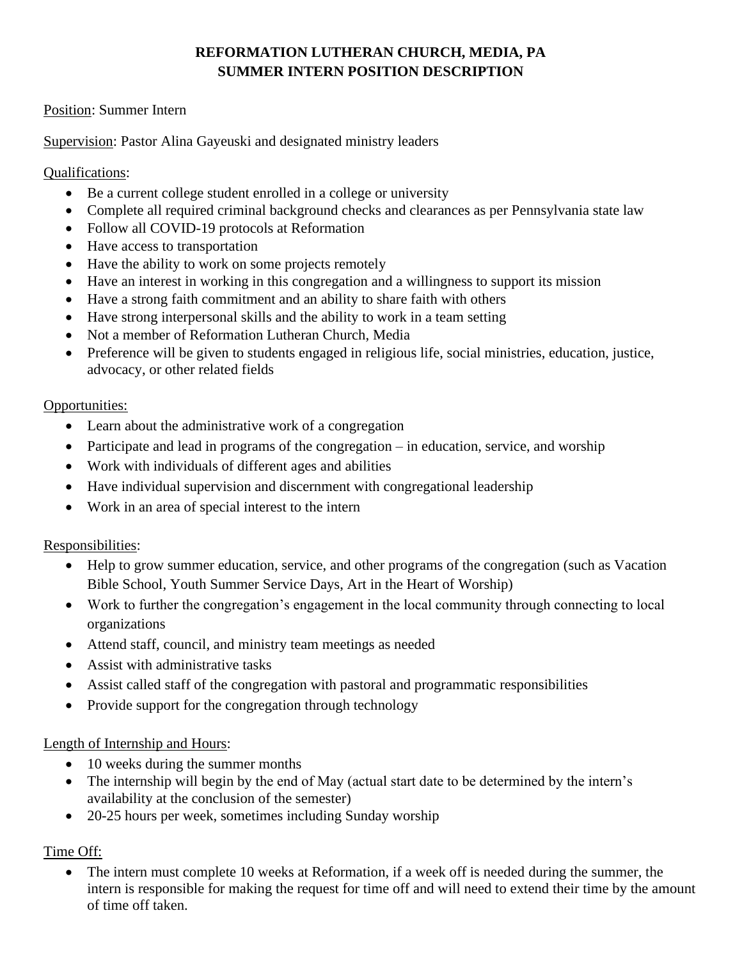# **REFORMATION LUTHERAN CHURCH, MEDIA, PA SUMMER INTERN POSITION DESCRIPTION**

### Position: Summer Intern

Supervision: Pastor Alina Gayeuski and designated ministry leaders

### Qualifications:

- Be a current college student enrolled in a college or university
- Complete all required criminal background checks and clearances as per Pennsylvania state law
- Follow all COVID-19 protocols at Reformation
- Have access to transportation
- Have the ability to work on some projects remotely
- Have an interest in working in this congregation and a willingness to support its mission
- Have a strong faith commitment and an ability to share faith with others
- Have strong interpersonal skills and the ability to work in a team setting
- Not a member of Reformation Lutheran Church, Media
- Preference will be given to students engaged in religious life, social ministries, education, justice, advocacy, or other related fields

### Opportunities:

- Learn about the administrative work of a congregation
- Participate and lead in programs of the congregation in education, service, and worship
- Work with individuals of different ages and abilities
- Have individual supervision and discernment with congregational leadership
- Work in an area of special interest to the intern

#### Responsibilities:

- Help to grow summer education, service, and other programs of the congregation (such as Vacation Bible School, Youth Summer Service Days, Art in the Heart of Worship)
- Work to further the congregation's engagement in the local community through connecting to local organizations
- Attend staff, council, and ministry team meetings as needed
- Assist with administrative tasks
- Assist called staff of the congregation with pastoral and programmatic responsibilities
- Provide support for the congregation through technology

#### Length of Internship and Hours:

- 10 weeks during the summer months
- The internship will begin by the end of May (actual start date to be determined by the intern's availability at the conclusion of the semester)
- 20-25 hours per week, sometimes including Sunday worship

## Time Off:

The intern must complete 10 weeks at Reformation, if a week off is needed during the summer, the intern is responsible for making the request for time off and will need to extend their time by the amount of time off taken.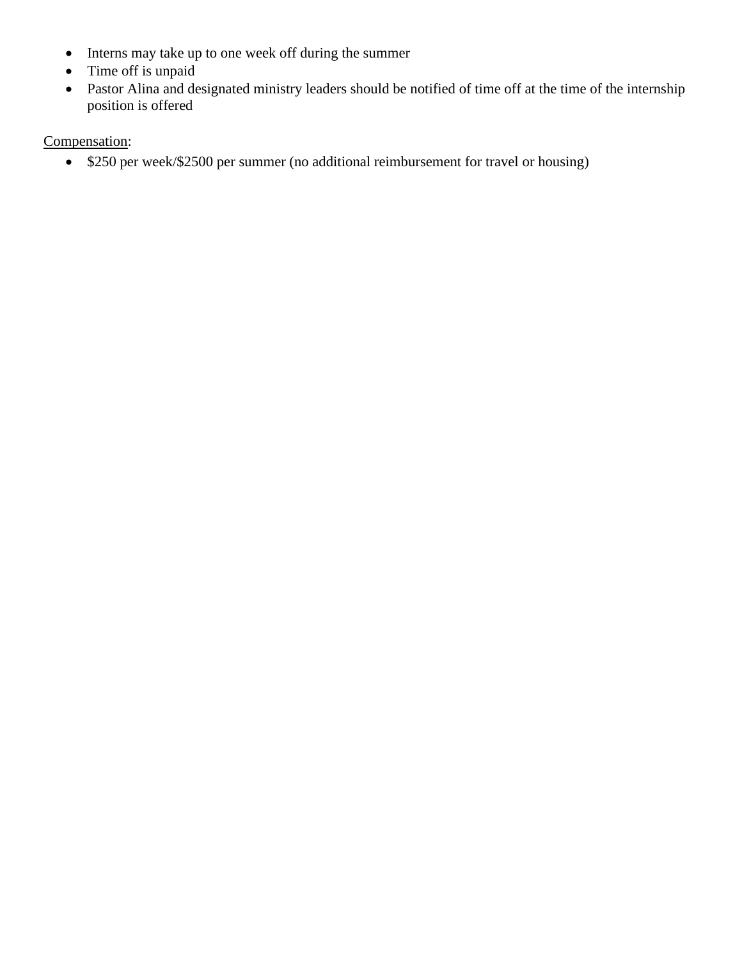- Interns may take up to one week off during the summer
- Time off is unpaid
- Pastor Alina and designated ministry leaders should be notified of time off at the time of the internship position is offered

# Compensation:

• \$250 per week/\$2500 per summer (no additional reimbursement for travel or housing)